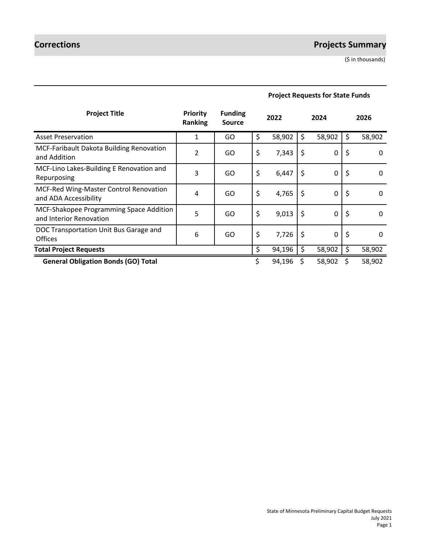# **Corrections Projects Summary**

(\$ in thousands)

| <b>Project Title</b>                                               | <b>Priority</b><br><b>Ranking</b> | <b>Funding</b><br><b>Source</b> | 2022         | 2024         | 2026           |
|--------------------------------------------------------------------|-----------------------------------|---------------------------------|--------------|--------------|----------------|
| <b>Asset Preservation</b>                                          | 1                                 | GO                              | \$<br>58,902 | \$<br>58,902 | \$<br>58,902   |
| <b>MCF-Faribault Dakota Building Renovation</b><br>and Addition    | $\overline{2}$                    | GO                              | \$<br>7,343  | \$<br>0      | \$<br>0        |
| MCF-Lino Lakes-Building E Renovation and<br>Repurposing            | 3                                 | GO                              | \$<br>6,447  | \$<br>0      | \$<br>0        |
| MCF-Red Wing-Master Control Renovation<br>and ADA Accessibility    | 4                                 | GO                              | \$<br>4,765  | \$<br>0      | \$<br>$\Omega$ |
| MCF-Shakopee Programming Space Addition<br>and Interior Renovation | 5                                 | GO                              | \$<br>9,013  | \$<br>0      | \$<br>0        |
| DOC Transportation Unit Bus Garage and<br><b>Offices</b>           | 6                                 | GO                              | \$<br>7,726  | \$<br>0      | \$<br>0        |
| <b>Total Project Requests</b>                                      |                                   |                                 | \$<br>94,196 | \$<br>58,902 | \$<br>58,902   |
| <b>General Obligation Bonds (GO) Total</b>                         |                                   |                                 | 94,196       | 58,902       | 58,902         |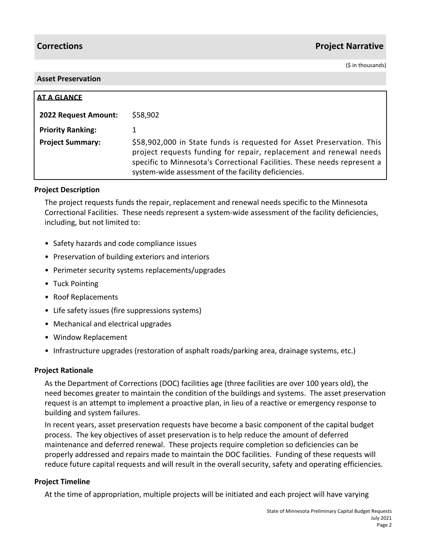# **Corrections Project Narrative**

(\$ in thousands)

#### **Asset Preservation**

| <b>AT A GLANCE</b>       |                                                                                                                                                                                                                                                                                 |
|--------------------------|---------------------------------------------------------------------------------------------------------------------------------------------------------------------------------------------------------------------------------------------------------------------------------|
| 2022 Request Amount:     | \$58,902                                                                                                                                                                                                                                                                        |
| <b>Priority Ranking:</b> |                                                                                                                                                                                                                                                                                 |
| <b>Project Summary:</b>  | \$58,902,000 in State funds is requested for Asset Preservation. This<br>project requests funding for repair, replacement and renewal needs<br>specific to Minnesota's Correctional Facilities. These needs represent a<br>system-wide assessment of the facility deficiencies. |

#### **Project Description**

The project requests funds the repair, replacement and renewal needs specific to the Minnesota Correctional Facilities. These needs represent a system-wide assessment of the facility deficiencies, including, but not limited to:

- Safety hazards and code compliance issues
- Preservation of building exteriors and interiors
- Perimeter security systems replacements/upgrades
- Tuck Pointing
- Roof Replacements
- Life safety issues (fire suppressions systems)
- Mechanical and electrical upgrades
- Window Replacement
- Infrastructure upgrades (restoration of asphalt roads/parking area, drainage systems, etc.)

#### **Project Rationale**

As the Department of Corrections (DOC) facilities age (three facilities are over 100 years old), the need becomes greater to maintain the condition of the buildings and systems. The asset preservation request is an attempt to implement a proactive plan, in lieu of a reactive or emergency response to building and system failures.

In recent years, asset preservation requests have become a basic component of the capital budget process. The key objectives of asset preservation is to help reduce the amount of deferred maintenance and deferred renewal. These projects require completion so deficiencies can be properly addressed and repairs made to maintain the DOC facilities. Funding of these requests will reduce future capital requests and will result in the overall security, safety and operating efficiencies.

#### **Project Timeline**

At the time of appropriation, multiple projects will be initiated and each project will have varying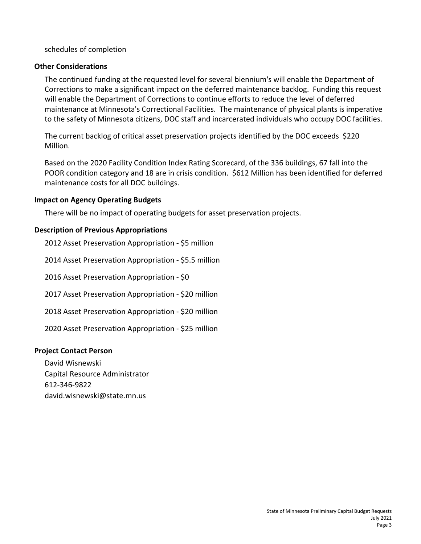schedules of completion

### **Other Considerations**

The continued funding at the requested level for several biennium's will enable the Department of Corrections to make a significant impact on the deferred maintenance backlog. Funding this request will enable the Department of Corrections to continue efforts to reduce the level of deferred maintenance at Minnesota's Correctional Facilities. The maintenance of physical plants is imperative to the safety of Minnesota citizens, DOC staff and incarcerated individuals who occupy DOC facilities.

The current backlog of critical asset preservation projects identified by the DOC exceeds \$220 Million.

Based on the 2020 Facility Condition Index Rating Scorecard, of the 336 buildings, 67 fall into the POOR condition category and 18 are in crisis condition. \$612 Million has been identified for deferred maintenance costs for all DOC buildings.

#### **Impact on Agency Operating Budgets**

There will be no impact of operating budgets for asset preservation projects.

### **Description of Previous Appropriations**

2012 Asset Preservation Appropriation - \$5 million 2014 Asset Preservation Appropriation - \$5.5 million 2016 Asset Preservation Appropriation - \$0 2017 Asset Preservation Appropriation - \$20 million 2018 Asset Preservation Appropriation - \$20 million 2020 Asset Preservation Appropriation - \$25 million

#### **Project Contact Person**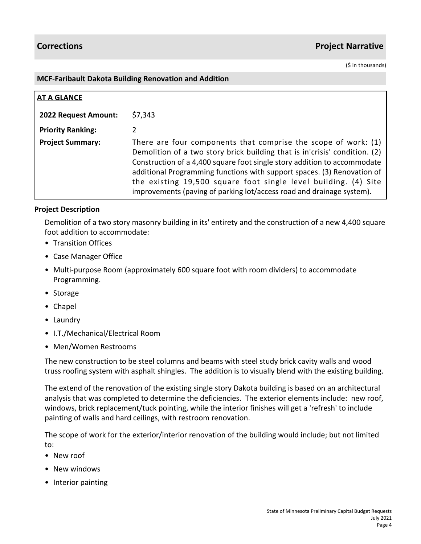(\$ in thousands)

#### **MCF-Faribault Dakota Building Renovation and Addition**

| <b>AT A GLANCE</b>          |                                                                                                                                                                                                                                                                                                                                                                                                                                                   |
|-----------------------------|---------------------------------------------------------------------------------------------------------------------------------------------------------------------------------------------------------------------------------------------------------------------------------------------------------------------------------------------------------------------------------------------------------------------------------------------------|
| <b>2022 Request Amount:</b> | \$7,343                                                                                                                                                                                                                                                                                                                                                                                                                                           |
| <b>Priority Ranking:</b>    | 2                                                                                                                                                                                                                                                                                                                                                                                                                                                 |
| <b>Project Summary:</b>     | There are four components that comprise the scope of work: $(1)$<br>Demolition of a two story brick building that is in'crisis' condition. (2)<br>Construction of a 4,400 square foot single story addition to accommodate<br>additional Programming functions with support spaces. (3) Renovation of<br>the existing 19,500 square foot single level building. (4) Site<br>improvements (paving of parking lot/access road and drainage system). |

#### **Project Description**

Demolition of a two story masonry building in its' entirety and the construction of a new 4,400 square foot addition to accommodate:

- Transition Offices
- Case Manager Office
- Multi-purpose Room (approximately 600 square foot with room dividers) to accommodate Programming.
- Storage
- Chapel
- Laundry
- I.T./Mechanical/Electrical Room
- Men/Women Restrooms

The new construction to be steel columns and beams with steel study brick cavity walls and wood truss roofing system with asphalt shingles. The addition is to visually blend with the existing building.

The extend of the renovation of the existing single story Dakota building is based on an architectural analysis that was completed to determine the deficiencies. The exterior elements include: new roof, windows, brick replacement/tuck pointing, while the interior finishes will get a 'refresh' to include painting of walls and hard ceilings, with restroom renovation.

The scope of work for the exterior/interior renovation of the building would include; but not limited to:

- New roof
- New windows
- Interior painting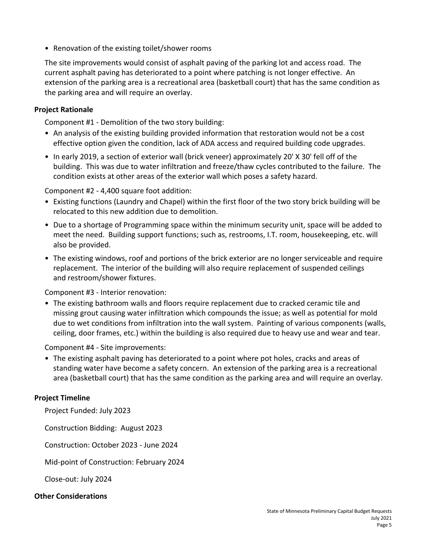• Renovation of the existing toilet/shower rooms

The site improvements would consist of asphalt paving of the parking lot and access road. The current asphalt paving has deteriorated to a point where patching is not longer effective. An extension of the parking area is a recreational area (basketball court) that has the same condition as the parking area and will require an overlay.

#### **Project Rationale**

Component #1 - Demolition of the two story building:

- An analysis of the existing building provided information that restoration would not be a cost effective option given the condition, lack of ADA access and required building code upgrades.
- In early 2019, a section of exterior wall (brick veneer) approximately 20' X 30' fell off of the building. This was due to water infiltration and freeze/thaw cycles contributed to the failure. The condition exists at other areas of the exterior wall which poses a safety hazard.

Component #2 - 4,400 square foot addition:

- Existing functions (Laundry and Chapel) within the first floor of the two story brick building will be relocated to this new addition due to demolition.
- Due to a shortage of Programming space within the minimum security unit, space will be added to meet the need. Building support functions; such as, restrooms, I.T. room, housekeeping, etc. will also be provided.
- The existing windows, roof and portions of the brick exterior are no longer serviceable and require replacement. The interior of the building will also require replacement of suspended ceilings and restroom/shower fixtures.

Component #3 - Interior renovation:

• The existing bathroom walls and floors require replacement due to cracked ceramic tile and missing grout causing water infiltration which compounds the issue; as well as potential for mold due to wet conditions from infiltration into the wall system. Painting of various components (walls, ceiling, door frames, etc.) within the building is also required due to heavy use and wear and tear.

Component #4 - Site improvements:

• The existing asphalt paving has deteriorated to a point where pot holes, cracks and areas of standing water have become a safety concern. An extension of the parking area is a recreational area (basketball court) that has the same condition as the parking area and will require an overlay.

#### **Project Timeline**

Project Funded: July 2023

Construction Bidding: August 2023

Construction: October 2023 - June 2024

Mid-point of Construction: February 2024

Close-out: July 2024

#### **Other Considerations**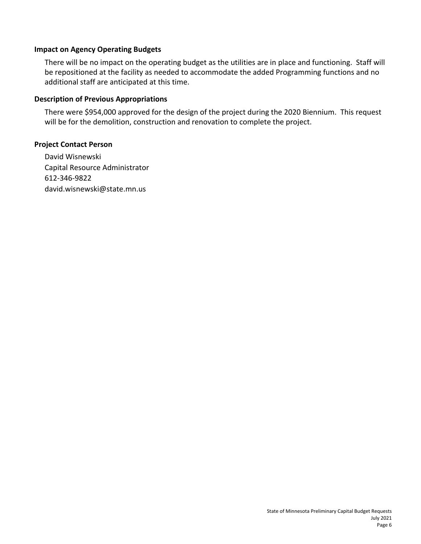#### **Impact on Agency Operating Budgets**

There will be no impact on the operating budget as the utilities are in place and functioning. Staff will be repositioned at the facility as needed to accommodate the added Programming functions and no additional staff are anticipated at this time.

#### **Description of Previous Appropriations**

There were \$954,000 approved for the design of the project during the 2020 Biennium. This request will be for the demolition, construction and renovation to complete the project.

#### **Project Contact Person**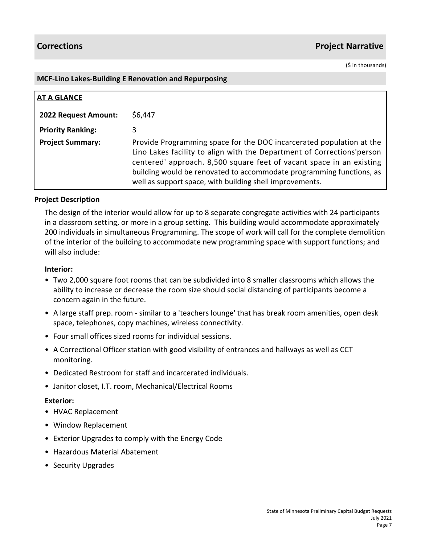# **Corrections Project Narrative**

(\$ in thousands)

#### **MCF-Lino Lakes-Building E Renovation and Repurposing**

| <b>AT A GLANCE</b>       |                                                                                                                                                                                                                                                                                                                                                            |
|--------------------------|------------------------------------------------------------------------------------------------------------------------------------------------------------------------------------------------------------------------------------------------------------------------------------------------------------------------------------------------------------|
| 2022 Request Amount:     | \$6,447                                                                                                                                                                                                                                                                                                                                                    |
| <b>Priority Ranking:</b> | 3                                                                                                                                                                                                                                                                                                                                                          |
| <b>Project Summary:</b>  | Provide Programming space for the DOC incarcerated population at the<br>Lino Lakes facility to align with the Department of Corrections'person<br>centered' approach. 8,500 square feet of vacant space in an existing<br>building would be renovated to accommodate programming functions, as<br>well as support space, with building shell improvements. |

#### **Project Description**

The design of the interior would allow for up to 8 separate congregate activities with 24 participants in a classroom setting, or more in a group setting. This building would accommodate approximately 200 individuals in simultaneous Programming. The scope of work will call for the complete demolition of the interior of the building to accommodate new programming space with support functions; and will also include:

#### **Interior:**

- Two 2,000 square foot rooms that can be subdivided into 8 smaller classrooms which allows the ability to increase or decrease the room size should social distancing of participants become a concern again in the future.
- A large staff prep. room similar to a 'teachers lounge' that has break room amenities, open desk space, telephones, copy machines, wireless connectivity.
- Four small offices sized rooms for individual sessions.
- A Correctional Officer station with good visibility of entrances and hallways as well as CCT monitoring.
- Dedicated Restroom for staff and incarcerated individuals.
- Janitor closet, I.T. room, Mechanical/Electrical Rooms

#### **Exterior:**

- HVAC Replacement
- Window Replacement
- Exterior Upgrades to comply with the Energy Code
- Hazardous Material Abatement
- Security Upgrades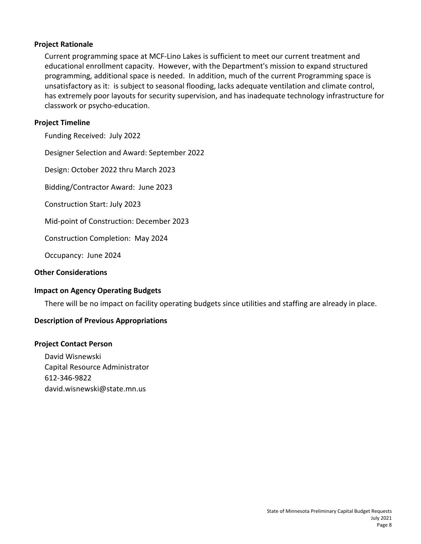#### **Project Rationale**

Current programming space at MCF-Lino Lakes is sufficient to meet our current treatment and educational enrollment capacity. However, with the Department's mission to expand structured programming, additional space is needed. In addition, much of the current Programming space is unsatisfactory as it: is subject to seasonal flooding, lacks adequate ventilation and climate control, has extremely poor layouts for security supervision, and has inadequate technology infrastructure for classwork or psycho-education.

#### **Project Timeline**

Funding Received: July 2022

Designer Selection and Award: September 2022

Design: October 2022 thru March 2023

Bidding/Contractor Award: June 2023

Construction Start: July 2023

Mid-point of Construction: December 2023

Construction Completion: May 2024

Occupancy: June 2024

#### **Other Considerations**

#### **Impact on Agency Operating Budgets**

There will be no impact on facility operating budgets since utilities and staffing are already in place.

#### **Description of Previous Appropriations**

#### **Project Contact Person**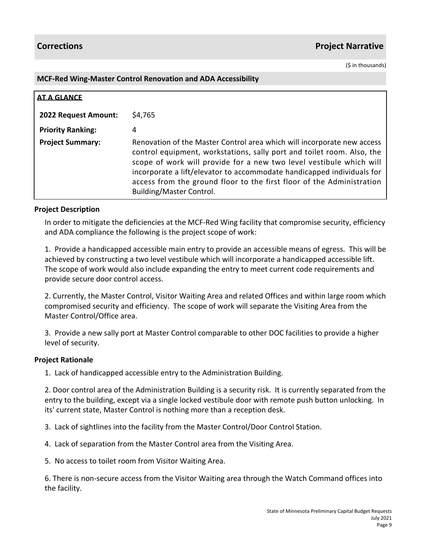(\$ in thousands)

#### **MCF-Red Wing-Master Control Renovation and ADA Accessibility**

| <b>AT A GLANCE</b>       |                                                                                                                                                                                                                                                                                                                                                                                                         |
|--------------------------|---------------------------------------------------------------------------------------------------------------------------------------------------------------------------------------------------------------------------------------------------------------------------------------------------------------------------------------------------------------------------------------------------------|
| 2022 Request Amount:     | \$4,765                                                                                                                                                                                                                                                                                                                                                                                                 |
| <b>Priority Ranking:</b> | 4                                                                                                                                                                                                                                                                                                                                                                                                       |
| <b>Project Summary:</b>  | Renovation of the Master Control area which will incorporate new access<br>control equipment, workstations, sally port and toilet room. Also, the<br>scope of work will provide for a new two level vestibule which will<br>incorporate a lift/elevator to accommodate handicapped individuals for<br>access from the ground floor to the first floor of the Administration<br>Building/Master Control. |

#### **Project Description**

In order to mitigate the deficiencies at the MCF-Red Wing facility that compromise security, efficiency and ADA compliance the following is the project scope of work:

1. Provide a handicapped accessible main entry to provide an accessible means of egress. This will be achieved by constructing a two level vestibule which will incorporate a handicapped accessible lift. The scope of work would also include expanding the entry to meet current code requirements and provide secure door control access.

2. Currently, the Master Control, Visitor Waiting Area and related Offices and within large room which compromised security and efficiency. The scope of work will separate the Visiting Area from the Master Control/Office area.

3. Provide a new sally port at Master Control comparable to other DOC facilities to provide a higher level of security.

#### **Project Rationale**

1. Lack of handicapped accessible entry to the Administration Building.

2. Door control area of the Administration Building is a security risk. It is currently separated from the entry to the building, except via a single locked vestibule door with remote push button unlocking. In its' current state, Master Control is nothing more than a reception desk.

3. Lack of sightlines into the facility from the Master Control/Door Control Station.

4. Lack of separation from the Master Control area from the Visiting Area.

5. No access to toilet room from Visitor Waiting Area.

6. There is non-secure access from the Visitor Waiting area through the Watch Command offices into the facility.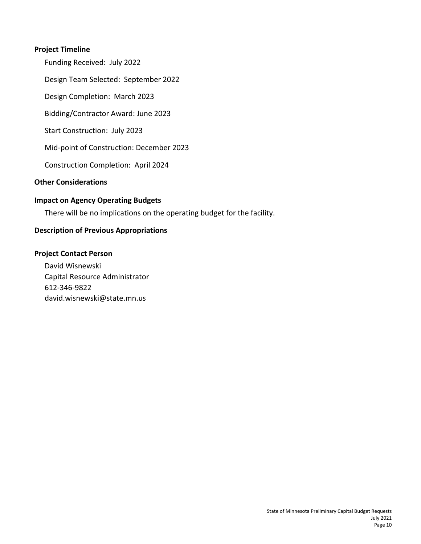#### **Project Timeline**

Funding Received: July 2022

Design Team Selected: September 2022

Design Completion: March 2023

Bidding/Contractor Award: June 2023

Start Construction: July 2023

Mid-point of Construction: December 2023

Construction Completion: April 2024

### **Other Considerations**

#### **Impact on Agency Operating Budgets**

There will be no implications on the operating budget for the facility.

#### **Description of Previous Appropriations**

#### **Project Contact Person**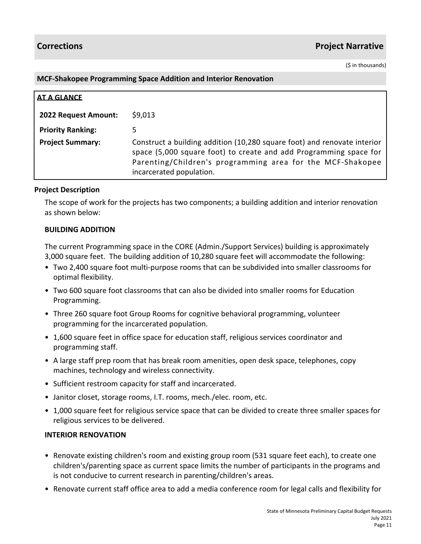(\$ in thousands)

#### **MCF-Shakopee Programming Space Addition and Interior Renovation**

| AT A GLANCE                 |                                                                                                                                                                                                                                         |
|-----------------------------|-----------------------------------------------------------------------------------------------------------------------------------------------------------------------------------------------------------------------------------------|
| <b>2022 Request Amount:</b> | \$9,013                                                                                                                                                                                                                                 |
| <b>Priority Ranking:</b>    | 5                                                                                                                                                                                                                                       |
| <b>Project Summary:</b>     | Construct a building addition (10,280 square foot) and renovate interior<br>space (5,000 square foot) to create and add Programming space for<br>Parenting/Children's programming area for the MCF-Shakopee<br>incarcerated population. |

#### **Project Description**

The scope of work for the projects has two components; a building addition and interior renovation as shown below:

#### **BUILDING ADDITION**

The current Programming space in the CORE (Admin./Support Services) building is approximately 3,000 square feet. The building addition of 10,280 square feet will accommodate the following:

- Two 2,400 square foot multi-purpose rooms that can be subdivided into smaller classrooms for optimal flexibility.
- Two 600 square foot classrooms that can also be divided into smaller rooms for Education Programming.
- Three 260 square foot Group Rooms for cognitive behavioral programming, volunteer programming for the incarcerated population.
- 1,600 square feet in office space for education staff, religious services coordinator and programming staff.
- A large staff prep room that has break room amenities, open desk space, telephones, copy machines, technology and wireless connectivity.
- Sufficient restroom capacity for staff and incarcerated.
- Janitor closet, storage rooms, I.T. rooms, mech./elec. room, etc.
- 1,000 square feet for religious service space that can be divided to create three smaller spaces for religious services to be delivered.

#### **INTERIOR RENOVATION**

- Renovate existing children's room and existing group room (531 square feet each), to create one children's/parenting space as current space limits the number of participants in the programs and is not conducive to current research in parenting/children's areas.
- Renovate current staff office area to add a media conference room for legal calls and flexibility for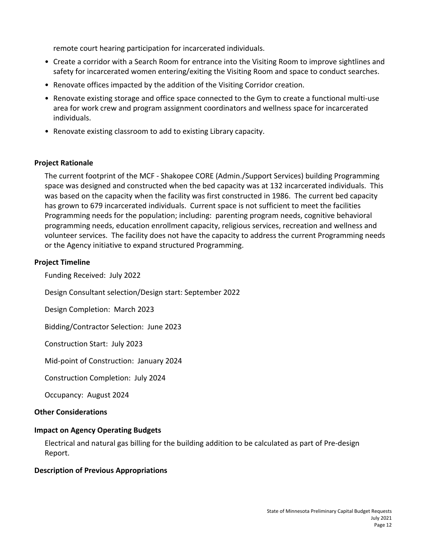remote court hearing participation for incarcerated individuals.

- Create a corridor with a Search Room for entrance into the Visiting Room to improve sightlines and safety for incarcerated women entering/exiting the Visiting Room and space to conduct searches.
- Renovate offices impacted by the addition of the Visiting Corridor creation.
- Renovate existing storage and office space connected to the Gym to create a functional multi-use area for work crew and program assignment coordinators and wellness space for incarcerated individuals.
- Renovate existing classroom to add to existing Library capacity.

#### **Project Rationale**

The current footprint of the MCF - Shakopee CORE (Admin./Support Services) building Programming space was designed and constructed when the bed capacity was at 132 incarcerated individuals. This was based on the capacity when the facility was first constructed in 1986. The current bed capacity has grown to 679 incarcerated individuals. Current space is not sufficient to meet the facilities Programming needs for the population; including: parenting program needs, cognitive behavioral programming needs, education enrollment capacity, religious services, recreation and wellness and volunteer services. The facility does not have the capacity to address the current Programming needs or the Agency initiative to expand structured Programming.

#### **Project Timeline**

Funding Received: July 2022

Design Consultant selection/Design start: September 2022

Design Completion: March 2023

Bidding/Contractor Selection: June 2023

Construction Start: July 2023

Mid-point of Construction: January 2024

Construction Completion: July 2024

Occupancy: August 2024

#### **Other Considerations**

#### **Impact on Agency Operating Budgets**

Electrical and natural gas billing for the building addition to be calculated as part of Pre-design Report.

### **Description of Previous Appropriations**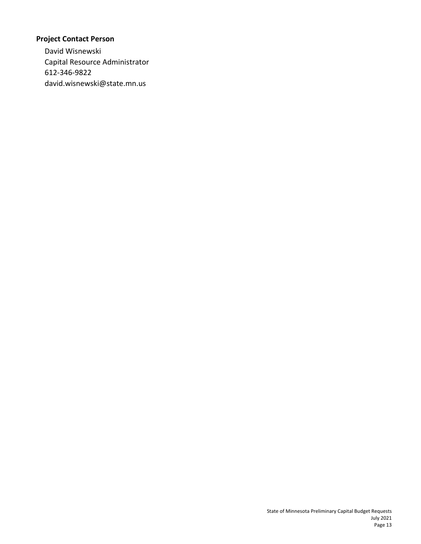# **Project Contact Person**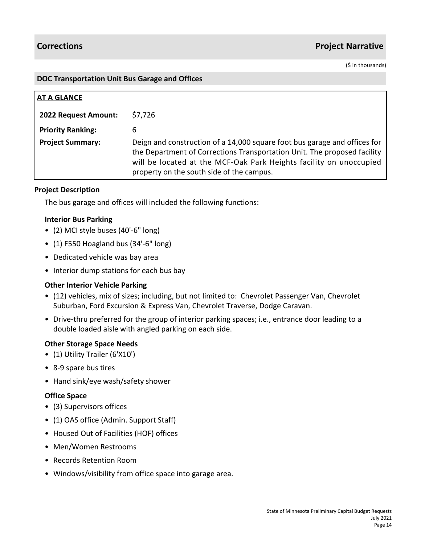# **Corrections Project Narrative**

(\$ in thousands)

#### **DOC Transportation Unit Bus Garage and Offices**

| AT A GLANCE              |                                                                                                                                                                                                                                                                          |
|--------------------------|--------------------------------------------------------------------------------------------------------------------------------------------------------------------------------------------------------------------------------------------------------------------------|
| 2022 Request Amount:     | \$7,726                                                                                                                                                                                                                                                                  |
| <b>Priority Ranking:</b> | 6                                                                                                                                                                                                                                                                        |
| <b>Project Summary:</b>  | Deign and construction of a 14,000 square foot bus garage and offices for<br>the Department of Corrections Transportation Unit. The proposed facility<br>will be located at the MCF-Oak Park Heights facility on unoccupied<br>property on the south side of the campus. |

#### **Project Description**

The bus garage and offices will included the following functions:

#### **Interior Bus Parking**

- (2) MCI style buses (40'-6" long)
- (1) F550 Hoagland bus (34'-6" long)
- Dedicated vehicle was bay area
- Interior dump stations for each bus bay

#### **Other Interior Vehicle Parking**

- (12) vehicles, mix of sizes; including, but not limited to: Chevrolet Passenger Van, Chevrolet Suburban, Ford Excursion & Express Van, Chevrolet Traverse, Dodge Caravan.
- Drive-thru preferred for the group of interior parking spaces; i.e., entrance door leading to a double loaded aisle with angled parking on each side.

#### **Other Storage Space Needs**

- (1) Utility Trailer (6'X10')
- 8-9 spare bus tires
- Hand sink/eye wash/safety shower

#### **Office Space**

- (3) Supervisors offices
- (1) OAS office (Admin. Support Staff)
- Housed Out of Facilities (HOF) offices
- Men/Women Restrooms
- Records Retention Room
- Windows/visibility from office space into garage area.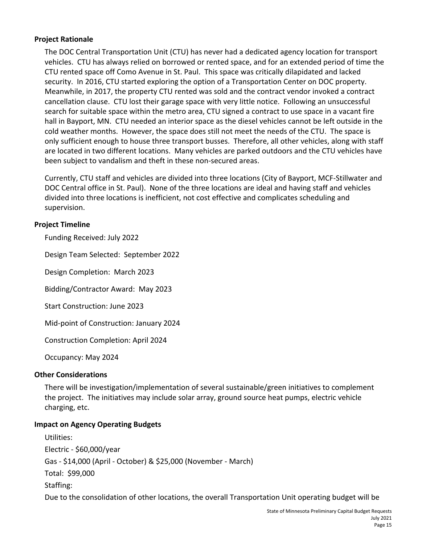#### **Project Rationale**

The DOC Central Transportation Unit (CTU) has never had a dedicated agency location for transport vehicles. CTU has always relied on borrowed or rented space, and for an extended period of time the CTU rented space off Como Avenue in St. Paul. This space was critically dilapidated and lacked security. In 2016, CTU started exploring the option of a Transportation Center on DOC property. Meanwhile, in 2017, the property CTU rented was sold and the contract vendor invoked a contract cancellation clause. CTU lost their garage space with very little notice. Following an unsuccessful search for suitable space within the metro area, CTU signed a contract to use space in a vacant fire hall in Bayport, MN. CTU needed an interior space as the diesel vehicles cannot be left outside in the cold weather months. However, the space does still not meet the needs of the CTU. The space is only sufficient enough to house three transport busses. Therefore, all other vehicles, along with staff are located in two different locations. Many vehicles are parked outdoors and the CTU vehicles have been subject to vandalism and theft in these non-secured areas.

Currently, CTU staff and vehicles are divided into three locations (City of Bayport, MCF-Stillwater and DOC Central office in St. Paul). None of the three locations are ideal and having staff and vehicles divided into three locations is inefficient, not cost effective and complicates scheduling and supervision.

#### **Project Timeline**

Funding Received: July 2022

Design Team Selected: September 2022

Design Completion: March 2023

Bidding/Contractor Award: May 2023

Start Construction: June 2023

Mid-point of Construction: January 2024

Construction Completion: April 2024

Occupancy: May 2024

#### **Other Considerations**

There will be investigation/implementation of several sustainable/green initiatives to complement the project. The initiatives may include solar array, ground source heat pumps, electric vehicle charging, etc.

#### **Impact on Agency Operating Budgets**

Utilities: Electric - \$60,000/year Gas - \$14,000 (April - October) & \$25,000 (November - March) Total: \$99,000 Staffing: Due to the consolidation of other locations, the overall Transportation Unit operating budget will be